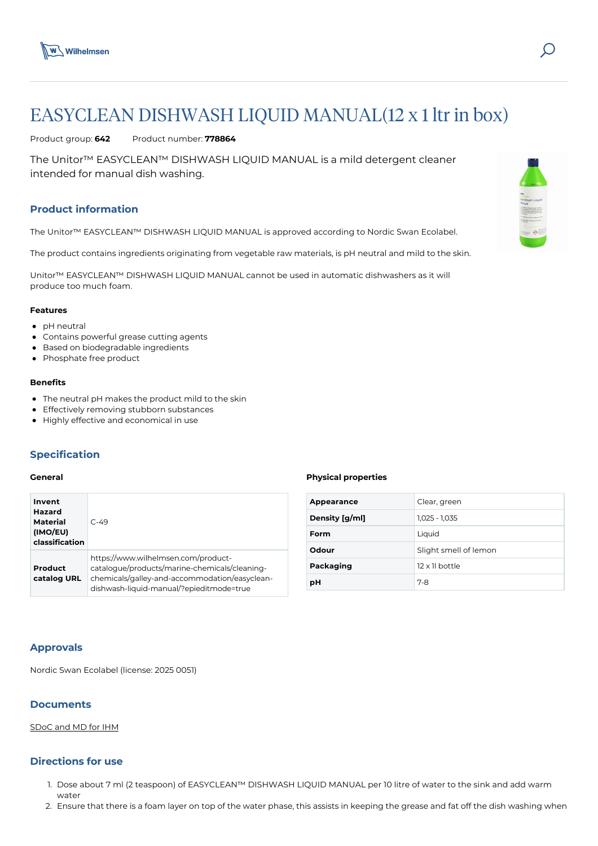

# EASYCLEAN DISHWASH LIQUID MANUAL(12 x 1 ltr in box)

Product group: **642** Product number: **778864**

The Unitor™ EASYCLEAN™ DISHWASH LIQUID MANUAL is a mild detergent cleaner intended for manual dish washing.

# **Product information**

The Unitor™ EASYCLEAN™ DISHWASH LIQUID MANUAL is approved according to Nordic Swan Ecolabel.

The product contains ingredients originating from vegetable raw materials, is pH neutral and mild to the skin.

Unitor™ EASYCLEAN™ DISHWASH LIQUID MANUAL cannot be used in automatic dishwashers as it will produce too much foam.

### **Features**

- pH neutral
- Contains powerful grease cutting agents
- Based on biodegradable ingredients
- Phosphate free product

#### **Benefits**

- The neutral pH makes the product mild to the skin
- Effectively removing stubborn substances
- Highly effective and economical in use

# **Specification**

## **General**

| Invent<br>Hazard<br><b>Material</b><br>(IMO/EU)<br>classification | $C - 49$                                                                                                                                                                          |
|-------------------------------------------------------------------|-----------------------------------------------------------------------------------------------------------------------------------------------------------------------------------|
| Product<br>catalog URL                                            | https://www.wilhelmsen.com/product-<br>catalogue/products/marine-chemicals/cleaning-<br>chemicals/galley-and-accommodation/easyclean-<br>dishwash-liquid-manual/?epieditmode=true |

#### **Physical properties**

| Appearance     | Clear, green          |  |
|----------------|-----------------------|--|
| Density [g/ml] | $1,025 - 1,035$       |  |
| Form           | Liquid                |  |
| Odour          | Slight smell of lemon |  |
| Packaging      | 12 x 11 bottle        |  |
| рH             | $7-8$                 |  |

# **Approvals**

Nordic Swan Ecolabel (license: 2025 0051)

# **Documents**

# [SDoC and MD for IHM](https://media.bluestonepim.com/e4deb258-8122-4fdf-9d12-b42f3e0e812d/be155e0c-5d49-44f7-a184-140c1cb6475a/d6F2QZ1t5aXIW9r9AEZxYY9Lv/Wn2ftzYifCB9Li58grU0nEXA9.pdf)

# **Directions for use**

- 1. Dose about 7 ml (2 teaspoon) of EASYCLEAN™ DISHWASH LIQUID MANUAL per 10 litre of water to the sink and add warm water
- 2. Ensure that there is a foam layer on top of the water phase, this assists in keeping the grease and fat off the dish washing when